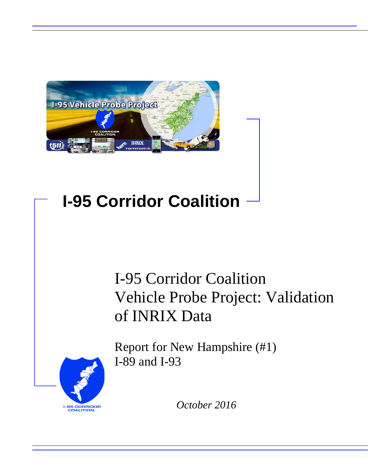

# **I-95 Corridor Coalition**

# I-95 Corridor Coalition Vehicle Probe Project: Validation of INRIX Data



Report for New Hampshire (#1) I-89 and I-93

*October 2016*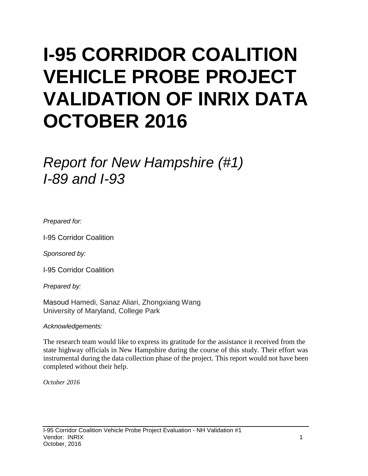# **I-95 CORRIDOR COALITION VEHICLE PROBE PROJECT VALIDATION OF INRIX DATA OCTOBER 2016**

# *Report for New Hampshire (#1) I-89 and I-93*

*Prepared for:*

I-95 Corridor Coalition

*Sponsored by:*

I-95 Corridor Coalition

*Prepared by:*

Masoud Hamedi, Sanaz Aliari, Zhongxiang Wang University of Maryland, College Park

*Acknowledgements:*

The research team would like to express its gratitude for the assistance it received from the state highway officials in New Hampshire during the course of this study. Their effort was instrumental during the data collection phase of the project. This report would not have been completed without their help.

*October 2016*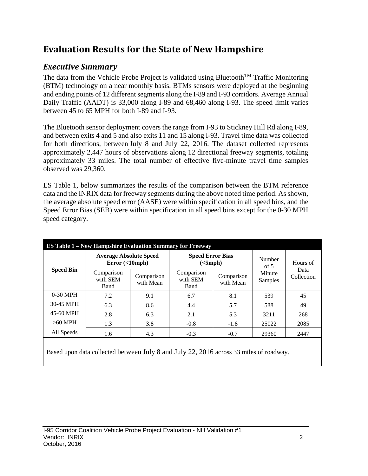## **Evaluation Results for the State of New Hampshire**

## *Executive Summary*

The data from the Vehicle Probe Project is validated using Bluetooth<sup>TM</sup> Traffic Monitoring (BTM) technology on a near monthly basis. BTMs sensors were deployed at the beginning and ending points of 12 different segments along the I-89 and I-93 corridors. Average Annual Daily Traffic (AADT) is 33,000 along I-89 and 68,460 along I-93. The speed limit varies between 45 to 65 MPH for both I-89 and I-93.

The Bluetooth sensor deployment covers the range from I-93 to Stickney Hill Rd along I-89, and between exits 4 and 5 and also exits 11 and 15 along I-93. Travel time data was collected for both directions, between July 8 and July 22, 2016. The dataset collected represents approximately 2,447 hours of observations along 12 directional freeway segments, totaling approximately 33 miles. The total number of effective five-minute travel time samples observed was 29,360.

ES Table 1, below summarizes the results of the comparison between the BTM reference data and the INRIX data for freeway segments during the above noted time period. As shown, the average absolute speed error (AASE) were within specification in all speed bins, and the Speed Error Bias (SEB) were within specification in all speed bins except for the 0-30 MPH speed category.

| <b>ES Table 1 – New Hampshire Evaluation Summary for Freeway</b> |                                            |                         |                                     |                         |                   |                                |  |  |  |  |
|------------------------------------------------------------------|--------------------------------------------|-------------------------|-------------------------------------|-------------------------|-------------------|--------------------------------|--|--|--|--|
| <b>Speed Bin</b>                                                 | <b>Average Absolute Speed</b><br>Error(<10 |                         | <b>Speed Error Bias</b><br>(<5 mph) |                         | Number<br>of $5$  | Hours of<br>Data<br>Collection |  |  |  |  |
|                                                                  | Comparison<br>with SEM<br>Band             | Comparison<br>with Mean | Comparison<br>with SEM<br>Band      | Comparison<br>with Mean | Minute<br>Samples |                                |  |  |  |  |
| $0-30$ MPH                                                       | 7.2                                        | 9.1                     | 6.7                                 | 8.1                     | 539               | 45                             |  |  |  |  |
| 30-45 MPH                                                        | 6.3                                        | 8.6                     | 4.4                                 | 5.7                     | 588               | 49                             |  |  |  |  |
| 45-60 MPH                                                        | 2.8                                        | 6.3                     | 2.1                                 | 5.3                     | 3211              | 268                            |  |  |  |  |
| $>60$ MPH                                                        | 1.3                                        | 3.8                     | $-0.8$                              | $-1.8$                  | 25022             | 2085                           |  |  |  |  |
| All Speeds                                                       | 1.6                                        | 4.3                     | $-0.3$                              | $-0.7$                  | 29360             | 2447                           |  |  |  |  |

Based upon data collected between July 8 and July 22, 2016 across 33 miles of roadway.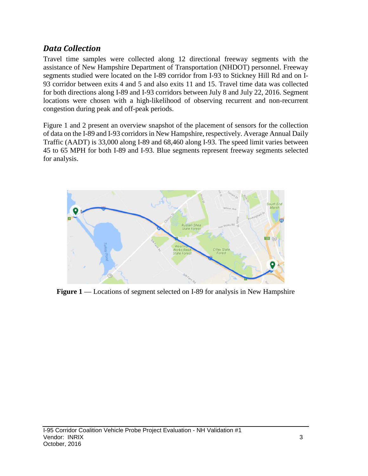### *Data Collection*

Travel time samples were collected along 12 directional freeway segments with the assistance of New Hampshire Department of Transportation (NHDOT) personnel. Freeway segments studied were located on the I-89 corridor from I-93 to Stickney Hill Rd and on I-93 corridor between exits 4 and 5 and also exits 11 and 15. Travel time data was collected for both directions along I-89 and I-93 corridors between July 8 and July 22, 2016. Segment locations were chosen with a high-likelihood of observing recurrent and non-recurrent congestion during peak and off-peak periods.

Figure 1 and 2 present an overview snapshot of the placement of sensors for the collection of data on the I-89 and I-93 corridors in New Hampshire, respectively. Average Annual Daily Traffic (AADT) is 33,000 along I-89 and 68,460 along I-93. The speed limit varies between 45 to 65 MPH for both I-89 and I-93. Blue segments represent freeway segments selected for analysis.



**Figure 1** –– Locations of segment selected on I-89 for analysis in New Hampshire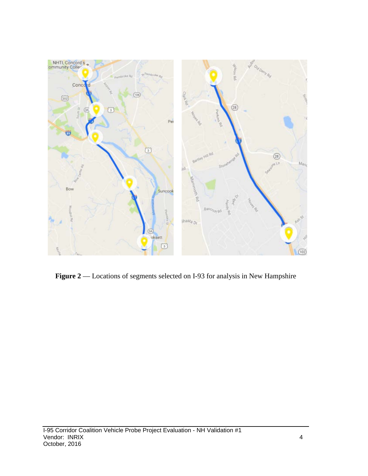

Figure 2 –– Locations of segments selected on I-93 for analysis in New Hampshire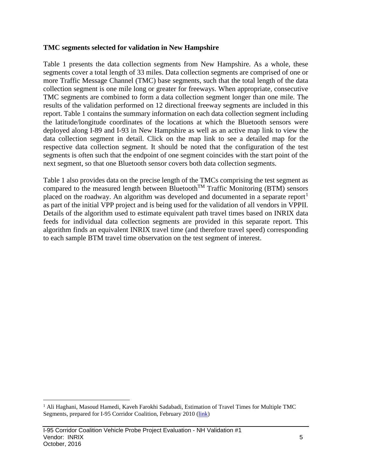#### **TMC segments selected for validation in New Hampshire**

Table 1 presents the data collection segments from New Hampshire. As a whole, these segments cover a total length of 33 miles. Data collection segments are comprised of one or more Traffic Message Channel (TMC) base segments, such that the total length of the data collection segment is one mile long or greater for freeways. When appropriate, consecutive TMC segments are combined to form a data collection segment longer than one mile. The results of the validation performed on 12 directional freeway segments are included in this report. Table 1 contains the summary information on each data collection segment including the latitude/longitude coordinates of the locations at which the Bluetooth sensors were deployed along I-89 and I-93 in New Hampshire as well as an active map link to view the data collection segment in detail. Click on the map link to see a detailed map for the respective data collection segment. It should be noted that the configuration of the test segments is often such that the endpoint of one segment coincides with the start point of the next segment, so that one Bluetooth sensor covers both data collection segments.

Table 1 also provides data on the precise length of the TMCs comprising the test segment as compared to the measured length between Bluetooth<sup>TM</sup> Traffic Monitoring (BTM) sensors placed on the roadway. An algorithm was developed and documented in a separate report<sup>[1](#page-5-0)</sup> as part of the initial VPP project and is being used for the validation of all vendors in VPPII. Details of the algorithm used to estimate equivalent path travel times based on INRIX data feeds for individual data collection segments are provided in this separate report. This algorithm finds an equivalent INRIX travel time (and therefore travel speed) corresponding to each sample BTM travel time observation on the test segment of interest.

<span id="page-5-0"></span><sup>&</sup>lt;sup>1</sup> Ali Haghani, Masoud Hamedi, Kaveh Farokhi Sadabadi, Estimation of Travel Times for Multiple TMC Segments, prepared for I-95 Corridor Coalition, February 2010 [\(link\)](http://www.i95coalition.org/wp-content/uploads/2015/02/I-95-CC-Estimation-of-Travel-Times-for-Multiple-TMC-Segments-FINAL2.pdf)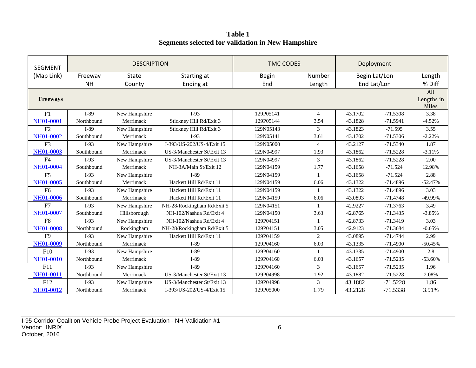**Table 1 Segments selected for validation in New Hampshire**

| <b>SEGMENT</b>  |            | <b>DESCRIPTION</b> |                            |              | <b>TMC CODES</b> |         |               |                            |
|-----------------|------------|--------------------|----------------------------|--------------|------------------|---------|---------------|----------------------------|
| (Map Link)      | Freeway    | <b>State</b>       | Starting at                | <b>Begin</b> | Number           |         | Begin Lat/Lon |                            |
|                 | <b>NH</b>  | County             | Ending at                  | End          | Length           |         | End Lat/Lon   | % Diff                     |
| <b>Freeways</b> |            |                    |                            |              |                  |         |               | All<br>Lengths in<br>Miles |
| F1              | I-89       | New Hampshire      | $I-93$                     | 129P05141    | $\overline{4}$   | 43.1702 | $-71.5308$    | 3.38                       |
| NH01-0001       | Northbound | Merrimack          | Stickney Hill Rd/Exit 3    | 129P05144    | 3.54             | 43.1828 | $-71.5941$    | $-4.52%$                   |
| F2              | $I-89$     | New Hampshire      | Stickney Hill Rd/Exit 3    | 129N05143    | 3                | 43.1823 | $-71.595$     | 3.55                       |
| NH01-0002       | Southbound | Merrimack          | $I-93$                     | 129N05141    | 3.61             | 43.1702 | $-71.5306$    | $-2.22%$                   |
| F <sub>3</sub>  | $I-93$     | New Hampshire      | I-393/US-202/US-4/Exit 15  | 129N05000    | $\overline{4}$   | 43.2127 | $-71.5340$    | 1.87                       |
| NH01-0003       | Southbound | Merrimack          | US-3/Manchester St/Exit 13 | 129N04997    | 1.93             | 43.1862 | $-71.5228$    | $-3.11%$                   |
| F4              | $I-93$     | New Hampshire      | US-3/Manchester St/Exit 13 | 129N04997    | 3                | 43.1862 | $-71.5228$    | 2.00                       |
| NH01-0004       | Southbound | Merrimack          | NH-3A/Main St/Exit 12      | 129N04159    | 1.77             | 43.1658 | $-71.524$     | 12.98%                     |
| F <sub>5</sub>  | $I-93$     | New Hampshire      | $I-89$                     | 129N04159    | $\mathbf{1}$     | 43.1658 | $-71.524$     | 2.88                       |
| NH01-0005       | Southbound | Merrimack          | Hackett Hill Rd/Exit 11    | 129N04159    | 6.06             | 43.1322 | $-71.4896$    | $-52.47%$                  |
| F <sub>6</sub>  | $I-93$     | New Hampshire      | Hackett Hill Rd/Exit 11    | 129N04159    | $\mathbf{1}$     | 43.1322 | $-71.4896$    | 3.03                       |
| NH01-0006       | Southbound | Merrimack          | Hackett Hill Rd/Exit 11    | 129N04159    | 6.06             | 43.0893 | $-71.4748$    | -49.99%                    |
| F7              | $I-93$     | New Hampshire      | NH-28/Rockingham Rd/Exit 5 | 129N04151    |                  | 42.9227 | $-71.3763$    | 3.49                       |
| NH01-0007       | Southbound | Hillsborough       | NH-102/Nashua Rd/Exit 4    | 129N04150    | 3.63             | 42.8765 | $-71.3435$    | $-3.85%$                   |
| F <sub>8</sub>  | $I-93$     | New Hampshire      | NH-102/Nashua Rd/Exit 4    | 129P04151    |                  | 42.8733 | $-71.3419$    | 3.03                       |
| NH01-0008       | Northbound | Rockingham         | NH-28/Rockingham Rd/Exit 5 | 129P04151    | 3.05             | 42.9123 | $-71.3684$    | $-0.65%$                   |
| F <sub>9</sub>  | $I-93$     | New Hampshire      | Hackett Hill Rd/Exit 11    | 129P04159    | 2                | 43.0895 | $-71.4744$    | 2.99                       |
| NH01-0009       | Northbound | Merrimack          | $I-89$                     | 129P04160    | 6.03             | 43.1335 | $-71.4900$    | $-50.45%$                  |
| F10             | $I-93$     | New Hampshire      | I-89                       | 129P04160    | $\mathbf{1}$     | 43.1335 | $-71.4900$    | 2.8                        |
| NH01-0010       | Northbound | Merrimack          | I-89                       | 129P04160    | 6.03             | 43.1657 | $-71.5235$    | $-53.60%$                  |
| F11             | $I-93$     | New Hampshire      | $I-89$                     | 129P04160    | 3                | 43.1657 | $-71.5235$    | 1.96                       |
| NH01-0011       | Northbound | Merrimack          | US-3/Manchester St/Exit 13 | 129P04998    | 1.92             | 43.1882 | $-71.5228$    | 2.08%                      |
| F12             | $I-93$     | New Hampshire      | US-3/Manchester St/Exit 13 | 129P04998    | 3                | 43.1882 | $-71.5228$    | 1.86                       |
| NH01-0012       | Northbound | Merrimack          | I-393/US-202/US-4/Exit 15  | 129P05000    | 1.79             | 43.2128 | $-71.5338$    | 3.91%                      |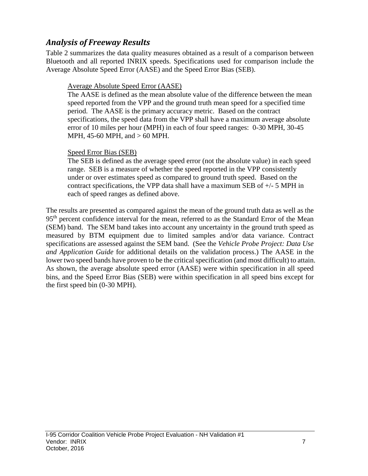### *Analysis of Freeway Results*

Table 2 summarizes the data quality measures obtained as a result of a comparison between Bluetooth and all reported INRIX speeds. Specifications used for comparison include the Average Absolute Speed Error (AASE) and the Speed Error Bias (SEB).

#### Average Absolute Speed Error (AASE)

The AASE is defined as the mean absolute value of the difference between the mean speed reported from the VPP and the ground truth mean speed for a specified time period. The AASE is the primary accuracy metric. Based on the contract specifications, the speed data from the VPP shall have a maximum average absolute error of 10 miles per hour (MPH) in each of four speed ranges: 0-30 MPH, 30-45 MPH, 45-60 MPH, and > 60 MPH.

#### Speed Error Bias (SEB)

The SEB is defined as the average speed error (not the absolute value) in each speed range. SEB is a measure of whether the speed reported in the VPP consistently under or over estimates speed as compared to ground truth speed. Based on the contract specifications, the VPP data shall have a maximum SEB of +/- 5 MPH in each of speed ranges as defined above.

The results are presented as compared against the mean of the ground truth data as well as the 95<sup>th</sup> percent confidence interval for the mean, referred to as the Standard Error of the Mean (SEM) band. The SEM band takes into account any uncertainty in the ground truth speed as measured by BTM equipment due to limited samples and/or data variance. Contract specifications are assessed against the SEM band. (See the *Vehicle Probe Project: Data Use and Application Guide* for additional details on the validation process.) The AASE in the lower two speed bands have proven to be the critical specification (and most difficult) to attain. As shown, the average absolute speed error (AASE) were within specification in all speed bins, and the Speed Error Bias (SEB) were within specification in all speed bins except for the first speed bin (0-30 MPH).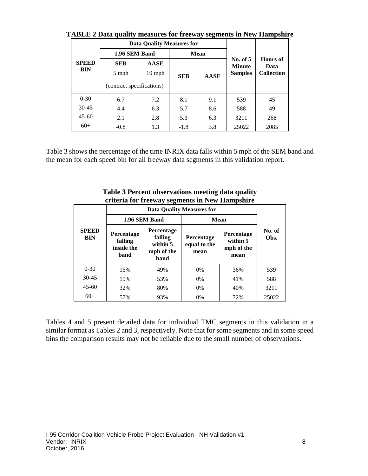| <b>SPEED</b><br>BIN |                                                  | <b>Data Quality Measures for</b> |                           |             |                                               |                                              |  |
|---------------------|--------------------------------------------------|----------------------------------|---------------------------|-------------|-----------------------------------------------|----------------------------------------------|--|
|                     | 1.96 SEM Band                                    |                                  |                           | <b>Mean</b> |                                               |                                              |  |
|                     | <b>SEB</b><br>5 mph<br>(contract specifications) | <b>AASE</b><br>$10$ mph          | <b>SEB</b><br><b>AASE</b> |             | No. of $5$<br><b>Minute</b><br><b>Samples</b> | <b>Hours</b> of<br>Data<br><b>Collection</b> |  |
| $0 - 30$            | 6.7                                              | 7.2                              | 8.1                       | 9.1         | 539                                           | 45                                           |  |
| $30 - 45$           | 4.4                                              | 6.3                              | 5.7                       | 8.6         | 588                                           | 49                                           |  |
| $45-60$             | 2.1                                              | 2.8                              | 5.3                       | 6.3         | 3211                                          | 268                                          |  |
| $60+$               | $-0.8$                                           | 1.3                              | $-1.8$                    | 3.8         | 25022                                         | 2085                                         |  |

**TABLE 2 Data quality measures for freeway segments in New Hampshire**

Table 3 shows the percentage of the time INRIX data falls within 5 mph of the SEM band and the mean for each speed bin for all freeway data segments in this validation report.

|                            |                                             | 1.96 SEM Band                                                  | Mean                               |                                                     |                |  |
|----------------------------|---------------------------------------------|----------------------------------------------------------------|------------------------------------|-----------------------------------------------------|----------------|--|
| <b>SPEED</b><br><b>BIN</b> | Percentage<br>falling<br>inside the<br>band | <b>Percentage</b><br>falling<br>within 5<br>mph of the<br>band | Percentage<br>equal to the<br>mean | <b>Percentage</b><br>within 5<br>mph of the<br>mean | No. of<br>Obs. |  |
| $0 - 30$                   | 15%                                         | 49%                                                            | 0%                                 | 36%                                                 | 539            |  |
| $30 - 45$                  | 19%                                         | 53%                                                            | 0%                                 | 41%                                                 | 588            |  |
| $45-60$                    | 32%                                         | 80%                                                            | 0%                                 | 40%                                                 | 3211           |  |
| $60+$                      | 57%                                         | 93%                                                            | 0%                                 | 72%                                                 | 25022          |  |

**Table 3 Percent observations meeting data quality criteria for freeway segments in New Hampshire**

Tables 4 and 5 present detailed data for individual TMC segments in this validation in a similar format as Tables 2 and 3, respectively. Note that for some segments and in some speed bins the comparison results may not be reliable due to the small number of observations.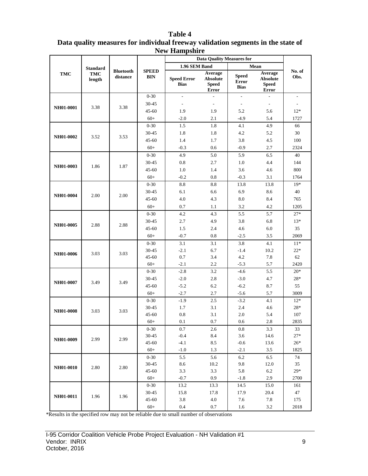|            |                   |                              |                            | тем пашрыше                       | <b>Data Quality Measures for</b>                    |                                             |                                                            |                          |
|------------|-------------------|------------------------------|----------------------------|-----------------------------------|-----------------------------------------------------|---------------------------------------------|------------------------------------------------------------|--------------------------|
|            | <b>Standard</b>   |                              |                            | 1.96 SEM Band                     |                                                     |                                             | ${\bf Mean}$                                               |                          |
| <b>TMC</b> | TMC<br>length     | <b>Bluetooth</b><br>distance | <b>SPEED</b><br><b>BIN</b> | <b>Speed Error</b><br><b>Bias</b> | Average<br><b>Absolute</b><br><b>Speed</b><br>Error | <b>Speed</b><br><b>Error</b><br><b>Bias</b> | Average<br><b>Absolute</b><br><b>Speed</b><br><b>Error</b> | No. of<br>Obs.           |
|            |                   |                              | $0 - 30$                   | $\overline{\phantom{a}}$          | $\overline{\phantom{a}}$                            | $\overline{\phantom{a}}$                    | $\overline{\phantom{a}}$                                   | $\overline{\phantom{a}}$ |
| NH01-0001  | 3.38              | 3.38                         | 30-45                      | $\sim$                            | $\overline{\phantom{a}}$                            | $\overline{\phantom{a}}$                    | $\overline{\phantom{a}}$                                   | $\overline{\phantom{a}}$ |
|            |                   |                              | $45 - 60$                  | 1.9                               | 1.9                                                 | 5.2                                         | 5.6                                                        | $12*$                    |
|            |                   |                              | $60+$                      | $-2.0$                            | 2.1                                                 | $-4.9$                                      | 5.4                                                        | 1727                     |
|            |                   |                              | $0 - 30$                   | 1.5                               | 1.8                                                 | 4.1                                         | 4.9                                                        | 66                       |
| NH01-0002  | 3.52              | 3.53                         | $30 - 45$                  | 1.8                               | 1.8                                                 | 4.2                                         | 5.2                                                        | 30                       |
|            |                   |                              | 45-60                      | 1.4                               | 1.7                                                 | 3.8                                         | 4.5                                                        | 100                      |
|            |                   |                              | $60+$                      | $-0.3$                            | 0.6                                                 | $-0.9$                                      | 2.7                                                        | 2324                     |
|            |                   |                              | $0 - 30$                   | 4.9                               | 5.0                                                 | 5.9                                         | 6.5                                                        | 40                       |
| NH01-0003  | 1.86              | 1.87                         | $30 - 45$                  | 0.8                               | 2.7                                                 | 1.0                                         | 4.4                                                        | 144                      |
|            |                   |                              | $45 - 60$                  | 1.0                               | 1.4                                                 | 3.6                                         | 4.6                                                        | 800                      |
|            |                   |                              | $60+$                      | $-0.2$                            | 0.8                                                 | $-0.3$                                      | 3.1                                                        | 1764                     |
|            |                   |                              | $0 - 30$                   | $\!\!\!\!\!8.8$                   | 8.8                                                 | 13.8                                        | 13.8                                                       | $19*$                    |
| NH01-0004  | 2.00              | 2.00                         | 30-45                      | 6.1                               | 6.6                                                 | 6.9                                         | 8.6                                                        | 40                       |
|            |                   |                              | $45 - 60$                  | 4.0                               | 4.3                                                 | 8.0                                         | 8.4                                                        | 765                      |
|            |                   |                              | $60+$                      | 0.7                               | 1.1                                                 | 3.2                                         | 4.2                                                        | 1205                     |
|            | NH01-0005<br>2.88 | 2.88                         | $0 - 30$                   | 4.2                               | 4.3                                                 | 5.5                                         | 5.7                                                        | $27*$                    |
|            |                   |                              | $30 - 45$                  | 2.7                               | 4.9                                                 | 3.8                                         | 6.8                                                        | $13*$                    |
|            |                   |                              | $45 - 60$                  | 1.5                               | 2.4                                                 | 4.6                                         | 6.0                                                        | 35                       |
|            |                   |                              | $60+$                      | $-0.7$                            | 0.8                                                 | $-2.5$                                      | $3.5$                                                      | 2069                     |
|            |                   |                              | $0 - 30$                   | 3.1                               | 3.1                                                 | 3.8                                         | 4.1                                                        | $11*$                    |
| NH01-0006  | 3.03              | 3.03                         | $30 - 45$                  | $-2.1$                            | 6.7                                                 | $-1.4$                                      | 10.2                                                       | $22*$                    |
|            |                   |                              | $45 - 60$                  | 0.7                               | 3.4                                                 | 4.2                                         | 7.8                                                        | 62                       |
|            |                   |                              | $60+$                      | $-2.1$                            | 2.2                                                 | $-5.3$                                      | 5.7                                                        | 2420                     |
|            |                   |                              | $0 - 30$                   | $-2.8$                            | 3.2                                                 | $-4.6$                                      | 5.5                                                        | $20*$                    |
| NH01-0007  | 3.49              | 3.49                         | 30-45                      | $-2.0$                            | 2.8                                                 | $-3.0$                                      | 4.7                                                        | $28*$                    |
|            |                   |                              | $45 - 60$                  | $-5.2$                            | 6.2                                                 | $-6.2$                                      | 8.7                                                        | 55                       |
|            |                   |                              | $60+$                      | $-2.7$                            | 2.7                                                 | $-5.6$                                      | 5.7                                                        | 3009                     |
|            |                   |                              | $0 - 30$                   | $-1.9$                            | 2.5                                                 | $-3.2$                                      | 4.1                                                        | $12*$                    |
| NH01-0008  | 3.03              | 3.03                         | 30-45                      | 1.7                               | 3.1                                                 | 2.4                                         | 4.6                                                        | $28*$                    |
|            |                   |                              | $45 - 60$<br>$60+$         | 0.8<br>$0.1\,$                    | 3.1<br>$0.7\,$                                      | 2.0<br>$0.6\,$                              | 5.4<br>$2.8\,$                                             | 107<br>2835              |
|            |                   |                              |                            | 0.7                               |                                                     |                                             |                                                            |                          |
|            |                   |                              | $0-30$<br>30-45            | $-0.4$                            | 2.6<br>8.4                                          | 0.8<br>3.6                                  | 3.3<br>14.6                                                | 33<br>$27*$              |
| NH01-0009  | 2.99              | 2.99                         | $45 - 60$                  | $-4.1$                            | 8.5                                                 | $-0.6$                                      | 13.6                                                       | $26*$                    |
|            |                   |                              | $60+$                      | $-1.0$                            | 1.3                                                 | $-2.1$                                      | 3.5                                                        | 1825                     |
|            |                   |                              | $0-30$                     | 5.5                               | 5.6                                                 | 6.2                                         | 6.5                                                        | 74                       |
|            |                   |                              | 30-45                      | 8.6                               | 10.2                                                | 9.8                                         | 12.0                                                       | 35                       |
| NH01-0010  | 2.80              | 2.80                         | 45-60                      | 3.3                               | 3.3                                                 | 5.8                                         | 6.2                                                        | $29*$                    |
|            |                   |                              | $60+$                      | $-0.7$                            | 0.9                                                 | $-1.8$                                      | 2.9                                                        | 2700                     |
|            |                   |                              | $0 - 30$                   | 13.2                              | 13.3                                                | 14.5                                        | 15.0                                                       | 161                      |
|            |                   |                              | 30-45                      | 15.8                              | 17.8                                                | 17.9                                        | 20.4                                                       | 47                       |
| NH01-0011  | 1.96              | 1.96                         | 45-60                      | 3.8                               | 4.0                                                 | 7.6                                         | 7.8                                                        | 175                      |
|            |                   |                              | $60+$                      | $0.4\,$                           | 0.7                                                 | 1.6                                         | 3.2                                                        | 2018                     |

#### **Table 4 Data quality measures for individual freeway validation segments in the state of New Hampshire**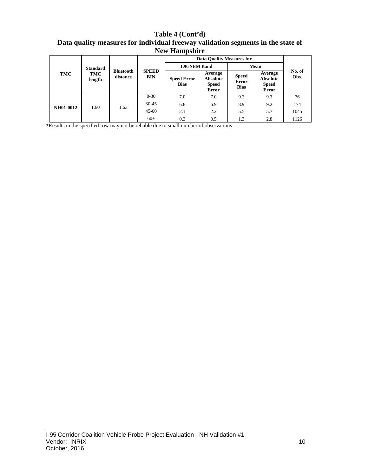**Table 4 (Cont'd) Data quality measures for individual freeway validation segments in the state of New Hampshire**

|                  |                 |                              |                            | <b>Data Quality Measures for</b>  |                                                            |                                      |                                                     |                |
|------------------|-----------------|------------------------------|----------------------------|-----------------------------------|------------------------------------------------------------|--------------------------------------|-----------------------------------------------------|----------------|
| TMC              | <b>Standard</b> | <b>Bluetooth</b><br>distance | <b>SPEED</b><br><b>BIN</b> | 1.96 SEM Band                     |                                                            | Mean                                 |                                                     |                |
|                  | TMC<br>length   |                              |                            | <b>Speed Error</b><br><b>Bias</b> | Average<br><b>Absolute</b><br><b>Speed</b><br><b>Error</b> | <b>Speed</b><br>Error<br><b>Bias</b> | Average<br><b>Absolute</b><br><b>Speed</b><br>Error | No. of<br>Obs. |
|                  |                 | 1.60<br>1.63                 | $0 - 30$                   | 7.0                               | 7.0                                                        | 9.2                                  | 9.3                                                 | 76             |
| <b>NH01-0012</b> |                 |                              | $30 - 45$                  | 6.8                               | 6.9                                                        | 8.9                                  | 9.2                                                 | 174            |
|                  |                 |                              | $45 - 60$                  | 2.1                               | 2.2                                                        | 5.5                                  | 5.7                                                 | 1045           |
|                  |                 |                              | $60+$                      | 0.3                               | 0.5                                                        | 1.3                                  | 2.8                                                 | 1126           |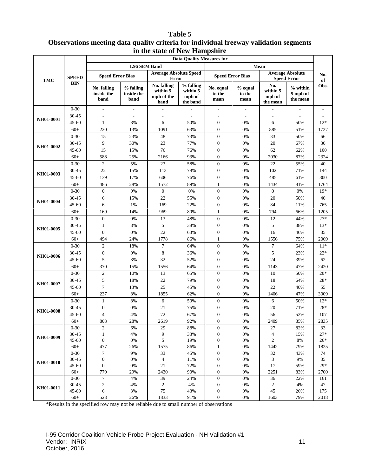#### **Table 5 Observations meeting data quality criteria for individual freeway validation segments in the state of New Hampshire**

|           |              | the biate of Two Trainpoint of<br><b>Data Quality Measures for</b> |                                 |                                               |                                             |                             |                           |                                       |                                               |           |
|-----------|--------------|--------------------------------------------------------------------|---------------------------------|-----------------------------------------------|---------------------------------------------|-----------------------------|---------------------------|---------------------------------------|-----------------------------------------------|-----------|
| TMC       |              |                                                                    | 1.96 SEM Band                   |                                               |                                             |                             | Mean                      |                                       |                                               |           |
|           | <b>SPEED</b> | <b>Speed Error Bias</b>                                            |                                 | <b>Average Absolute Speed</b><br><b>Error</b> |                                             | <b>Speed Error Bias</b>     |                           |                                       | <b>Average Absolute</b><br><b>Speed Error</b> | No.<br>of |
|           | <b>BIN</b>   | No. falling<br>inside the<br>band                                  | % falling<br>inside the<br>band | No. falling<br>within 5<br>mph of the<br>band | % falling<br>within 5<br>mph of<br>the band | No. equal<br>to the<br>mean | % equal<br>to the<br>mean | No.<br>within 5<br>mph of<br>the mean | % within<br>5 mph of<br>the mean              | Obs.      |
|           | $0 - 30$     | $\overline{\phantom{a}}$                                           | $\overline{\phantom{a}}$        |                                               |                                             |                             | $\overline{\phantom{a}}$  |                                       |                                               |           |
|           | 30-45        | ٠                                                                  | $\overline{\phantom{a}}$        | ÷                                             | $\overline{a}$                              | $\overline{a}$              | $\overline{\phantom{a}}$  |                                       | $\overline{\phantom{a}}$                      |           |
| NH01-0001 | 45-60        | $\mathbf{1}$                                                       | 8%                              | 6                                             | 50%                                         | $\boldsymbol{0}$            | 0%                        | 6                                     | 50%                                           | $12*$     |
|           | $60+$        | 220                                                                | 13%                             | 1091                                          | 63%                                         | $\mathbf{0}$                | 0%                        | 885                                   | 51%                                           | 1727      |
|           | $0 - 30$     | 15                                                                 | 23%                             | 48                                            | 73%                                         | $\boldsymbol{0}$            | 0%                        | 33                                    | 50%                                           | 66        |
| NH01-0002 | 30-45        | 9                                                                  | 30%                             | 23                                            | 77%                                         | $\boldsymbol{0}$            | 0%                        | 20                                    | 67%                                           | 30        |
|           | 45-60        | 15                                                                 | 15%                             | 76                                            | 76%                                         | $\boldsymbol{0}$            | 0%                        | 62                                    | 62%                                           | 100       |
|           | $60+$        | 588                                                                | 25%                             | 2166                                          | 93%                                         | $\mathbf{0}$                | 0%                        | 2030                                  | 87%                                           | 2324      |
|           | $0 - 30$     | $\overline{c}$                                                     | 5%                              | 23                                            | 58%                                         | $\mathbf{0}$                | 0%                        | 22                                    | 55%                                           | 40        |
| NH01-0003 | 30-45        | $22\,$                                                             | 15%                             | 113                                           | 78%                                         | $\boldsymbol{0}$            | 0%                        | 102                                   | 71%                                           | 144       |
|           | 45-60        | 139                                                                | 17%                             | 606                                           | 76%                                         | $\boldsymbol{0}$            | 0%                        | 485                                   | 61%                                           | 800       |
|           | $60+$        | 486                                                                | 28%                             | 1572                                          | 89%                                         | $\mathbf{1}$                | 0%                        | 1434                                  | 81%                                           | 1764      |
|           | $0 - 30$     | $\mathbf{0}$                                                       | $0\%$                           | $\boldsymbol{0}$                              | $0\%$                                       | $\boldsymbol{0}$            | 0%                        | $\boldsymbol{0}$                      | 0%                                            | $19*$     |
| NH01-0004 | 30-45        | 6                                                                  | 15%                             | 22                                            | 55%                                         | $\boldsymbol{0}$            | 0%                        | 20                                    | 50%                                           | 40        |
|           | 45-60        | 6                                                                  | 1%                              | 169                                           | 22%                                         | $\boldsymbol{0}$            | 0%                        | 84                                    | 11%                                           | 765       |
|           | $60+$        | 169                                                                | 14%                             | 969                                           | 80%                                         | 1                           | 0%                        | 794                                   | 66%                                           | 1205      |
| NH01-0005 | $0 - 30$     | $\boldsymbol{0}$                                                   | 0%                              | 13                                            | 48%                                         | $\mathbf{0}$                | 0%                        | 12                                    | 44%                                           | $27*$     |
|           | 30-45        | $\mathbf{1}$                                                       | 8%                              | 5                                             | 38%                                         | $\boldsymbol{0}$            | 0%                        | 5                                     | 38%                                           | $13*$     |
|           | 45-60        | $\overline{0}$                                                     | 0%                              | 22                                            | 63%                                         | $\boldsymbol{0}$            | 0%                        | 16                                    | 46%                                           | 35        |
|           | $60+$        | 494                                                                | 24%                             | 1778                                          | 86%                                         | $\mathbf{1}$                | 0%                        | 1556                                  | 75%                                           | 2069      |
|           | $0 - 30$     | $\overline{2}$                                                     | 18%                             | $\tau$                                        | 64%                                         | $\boldsymbol{0}$            | $0\%$                     | 7                                     | 64%                                           | $11*$     |
|           | 30-45        | $\boldsymbol{0}$                                                   | 0%                              | 8                                             | 36%                                         | $\boldsymbol{0}$            | 0%                        | 5                                     | 23%                                           | $22*$     |
| NH01-0006 | 45-60        | 5                                                                  | 8%                              | 32                                            | 52%                                         | $\boldsymbol{0}$            | 0%                        | 24                                    | 39%                                           | 62        |
|           | $60+$        | 370                                                                | 15%                             | 1556                                          | 64%                                         | $\mathbf{0}$                | 0%                        | 1143                                  | 47%                                           | 2420      |
|           | $0 - 30$     | $\overline{c}$                                                     | 10%                             | 13                                            | 65%                                         | $\boldsymbol{0}$            | 0%                        | 10                                    | 50%                                           | $20*$     |
|           | 30-45        | 5                                                                  | 18%                             | $22\,$                                        | 79%                                         | $\boldsymbol{0}$            | 0%                        | $18\,$                                | 64%                                           | 28*       |
| NH01-0007 | 45-60        | $\tau$                                                             | 13%                             | 25                                            | 45%                                         | $\boldsymbol{0}$            | 0%                        | 22                                    | 40%                                           | 55        |
|           | $60+$        | 237                                                                | 8%                              | 1855                                          | 62%                                         | $\mathbf{0}$                | 0%                        | 1406                                  | 47%                                           | 3009      |
|           | $0 - 30$     | $\mathbf{1}$                                                       | 8%                              | 6                                             | 50%                                         | $\mathbf{0}$                | 0%                        | 6                                     | 50%                                           | $12*$     |
|           | 30-45        | $\boldsymbol{0}$                                                   | 0%                              | 21                                            | 75%                                         | $\boldsymbol{0}$            | 0%                        | 20                                    | 71%                                           | $28*$     |
| NH01-0008 | 45-60        | $\overline{4}$                                                     | 4%                              | 72                                            | 67%                                         | $\mathbf{0}$                | 0%                        | 56                                    | 52%                                           | 107       |
|           | $60+$        | 803                                                                | 28%                             | 2619                                          | 92%                                         | $\overline{0}$              | 0%                        | 2409                                  | 85%                                           | 2835      |
|           | $0 - 30$     | $\boldsymbol{2}$                                                   | 6%                              | 29                                            | 88%                                         | $\boldsymbol{0}$            | 0%                        | 27                                    | 82%                                           | 33        |
|           | 30-45        | $\mathbf{1}$                                                       | 4%                              | 9                                             | 33%                                         | $\boldsymbol{0}$            | $0\%$                     | 4                                     | 15%                                           | $27*$     |
| NH01-0009 | 45-60        | $\boldsymbol{0}$                                                   | $0\%$                           | 5                                             | 19%                                         | $\boldsymbol{0}$            | $0\%$                     | 2                                     | 8%                                            | $26*$     |
|           | $60+$        | 477                                                                | 26%                             | 1575                                          | 86%                                         | $\mathbf{1}$                | 0%                        | 1442                                  | 79%                                           | 1825      |
|           | $0 - 30$     | $\tau$                                                             | 9%                              | 33                                            | 45%                                         | $\boldsymbol{0}$            | $0\%$                     | 32                                    | 43%                                           | 74        |
| NH01-0010 | 30-45        | $\boldsymbol{0}$                                                   | $0\%$                           | $\overline{\mathcal{A}}$                      | 11%                                         | $\boldsymbol{0}$            | $0\%$                     | $\mathfrak{Z}$                        | 9%                                            | 35        |
|           | $45 - 60$    | $\boldsymbol{0}$                                                   | 0%                              | 21                                            | 72%                                         | $\boldsymbol{0}$            | 0%                        | 17                                    | 59%                                           | $29*$     |
|           | $60+$        | 779                                                                | 29%                             | 2430                                          | 90%                                         | $\boldsymbol{0}$            | 0%                        | 2251                                  | 83%                                           | 2700      |
|           | $0 - 30$     | $\boldsymbol{7}$                                                   | 4%                              | 39                                            | 24%                                         | $\boldsymbol{0}$            | $0\%$                     | 36                                    | 22%                                           | 161       |
| NH01-0011 | 30-45        | $\boldsymbol{2}$                                                   | $4\%$                           | $\overline{c}$                                | 4%                                          | $\boldsymbol{0}$            | $0\%$                     | $\overline{c}$                        | 4%                                            | 47        |
|           | 45-60        | 6                                                                  | $3\%$                           | 75                                            | 43%                                         | $\boldsymbol{0}$            | 0%                        | 45                                    | 26%                                           | 175       |
|           | $60+$        | 523                                                                | 26%                             | 1833                                          | 91%                                         | $\boldsymbol{0}$            | 0%                        | 1603                                  | 79%                                           | 2018      |